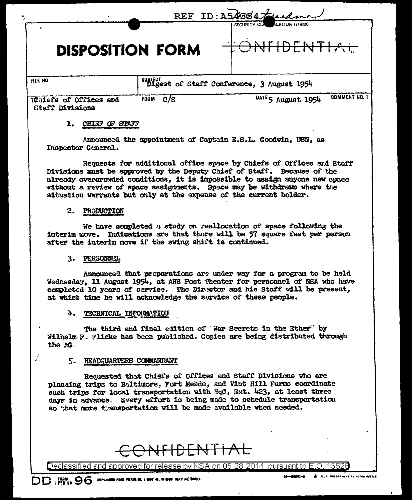|                                                  |                                            | REF ID: A54884 Fuckman                     |
|--------------------------------------------------|--------------------------------------------|--------------------------------------------|
| <b>DISPOSITION FORM</b>                          |                                            | CATION (If any)<br>SECURITY CLA            |
| FILE NO.                                         | suggest of Staff Conference, 3 August 1954 |                                            |
| Tühiefs of Offices and<br><b>Staff Divisions</b> | c/s<br><b>FROM</b>                         | <b>COMMENT NO. 1</b><br>DATE 5 August 1954 |

### 1. CHIEF OF STAFF

Announced the appointment of Captain E.S.L. Goodwin, USN, as Inspector General.

Requests for additional office space by Chiefs of Offices and Staff Divisions must be approved by the Deputy Chief of Staff. Because of the already overcrowded conditions, it is impossible to assign anyone new opace without a review of space assignments. Space may be withdrawn where the situation warrants but only at the expense of the current holder.

#### 2. PRODUCTION

We have completed a study on reallocation of space following the interim move. Indications are that there will be 57 square feet per person after the interim move if the swing shift is continued.

#### 3. PERSONNEL

Announced that preparations are under way for a program to be held Wednesday, 11 August 1954, at AHS Post Theater for personnel of NSA who have completed 10 years of service. The Director and his Staff will be present, at which time he will acknowledge the service of these people.

#### 4. TECHNICAL INFORMATION

The third and final edition of War Secrets in the Ether" by Wilhelm F. Flicke has been published. Copies are being distributed through the AG.

#### 5. HEADQUARTERS COMMANDANT

Requested that Chiefs of Offices and Staff Divisions who are planging trips to Baltimore, Fort Meade, and Vint Hill Farms coordinate such trips for local transportation with HqC, Ext. 423, at least three days in advance. Every effort is being made to schedule transportation so that more transportation will be made available when needed.

# <del>JFIDENTIAL</del>

Declassified and approved for release by NSA on 05-28-2014 pursuant to E.O. 13526

 $\mathcal{L}$